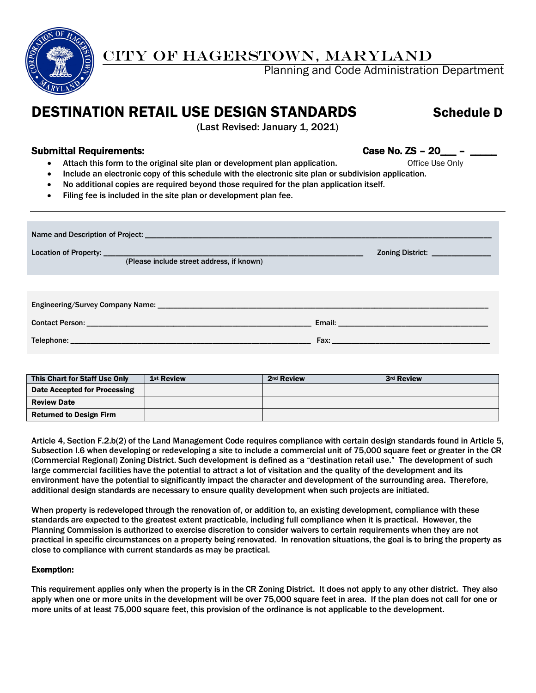

## CITY OF HAGERSTOWN, MARYLAND

Planning and Code Administration Department

## DESTINATION RETAIL USE DESIGN STANDARDS Schedule D

(Last Revised: January 1, 2021)

## Submittal Requirements: Case No. ZS – 20\_\_\_ – \_\_\_\_

- Attach this form to the original site plan or development plan application. Office Use Only
- Include an electronic copy of this schedule with the electronic site plan or subdivision application.
- No additional copies are required beyond those required for the plan application itself.
- Filing fee is included in the site plan or development plan fee.

| (Please include street address, if known) | Zoning District: ______________                                                                                                                                                                                               |  |  |  |  |  |  |  |
|-------------------------------------------|-------------------------------------------------------------------------------------------------------------------------------------------------------------------------------------------------------------------------------|--|--|--|--|--|--|--|
|                                           |                                                                                                                                                                                                                               |  |  |  |  |  |  |  |
|                                           |                                                                                                                                                                                                                               |  |  |  |  |  |  |  |
|                                           |                                                                                                                                                                                                                               |  |  |  |  |  |  |  |
|                                           | Fax: Exercise and the second contract of the second contract of the second contract of the second contract of the second contract of the second contract of the second contract of the second contract of the second contract |  |  |  |  |  |  |  |

| This Chart for Staff Use Only  | 1 <sup>st</sup> Review | 2 <sup>nd</sup> Review | 3rd Review |
|--------------------------------|------------------------|------------------------|------------|
| Date Accepted for Processing   |                        |                        |            |
| <b>Review Date</b>             |                        |                        |            |
| <b>Returned to Design Firm</b> |                        |                        |            |

Article 4, Section F.2.b(2) of the Land Management Code requires compliance with certain design standards found in Article 5, Subsection I.6 when developing or redeveloping a site to include a commercial unit of 75,000 square feet or greater in the CR (Commercial Regional) Zoning District. Such development is defined as a "destination retail use." The development of such large commercial facilities have the potential to attract a lot of visitation and the quality of the development and its environment have the potential to significantly impact the character and development of the surrounding area. Therefore, additional design standards are necessary to ensure quality development when such projects are initiated.

When property is redeveloped through the renovation of, or addition to, an existing development, compliance with these standards are expected to the greatest extent practicable, including full compliance when it is practical. However, the Planning Commission is authorized to exercise discretion to consider waivers to certain requirements when they are not practical in specific circumstances on a property being renovated. In renovation situations, the goal is to bring the property as close to compliance with current standards as may be practical.

## Exemption:

This requirement applies only when the property is in the CR Zoning District. It does not apply to any other district. They also apply when one or more units in the development will be over 75,000 square feet in area. If the plan does not call for one or more units of at least 75,000 square feet, this provision of the ordinance is not applicable to the development.